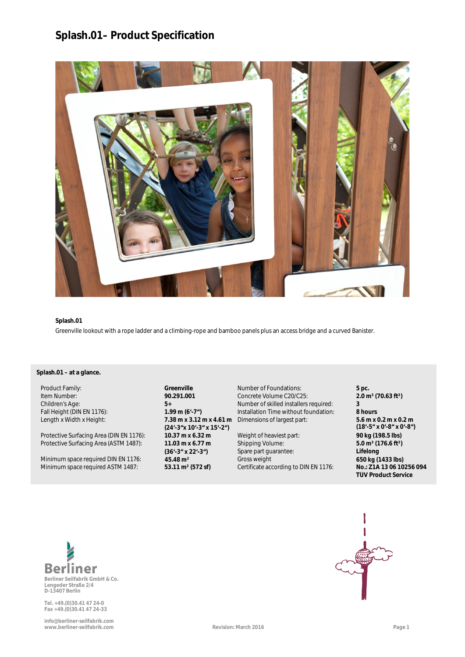# **Splash.01– Product Specification**



### **Splash.01**

**a** Greenville lookout with a rope ladder and a climbing-rope and bamboo panels plus an access bridge and a curved Banister.

## y **Splash.01 – at a glance.**

Protective Surfacing Area (DIN EN 1176): **10.37 m x 6.32 m** Weight of heaviest part: **90 kg (198.5 lbs)** Protective Surfacing Area (ASTM 1487): **11.03 m x 6.77 m**

Minimum space required DIN EN 1176: **45.48 m<sup>2</sup> 650 kg (1433 lbs)**<br>Minimum space required ASTM 1487: **53.11 m<sup>2</sup> (572 sf)** Certificate according to DIN EN 1176: **No.: 21A 1306 10256 094** 

Length x Width x Height: **7.38 m x 3.12 m x 4.61 m (24'-3"x 10'-3" x 15'-2") (36'-3" x 22'-3")**

Product Family: **Greenville** Number of Foundations: **5 pc.** Item Number: **90.291.001** Concrete Volume C20/C25: **2.0 m<sup>3</sup> (70.63 ft<sup>3</sup>)**<br>Children's Age: **2.0 m 5**+ **D Mumber of skilled installers required: <b>3** Children's Age: **5+** Number of skilled installers required: **3** Fall Height (DIN EN 1176): **1.99 m (6'-7")** Installation Time without foundation: **8 hours** Dimensions of largest part: **5.6 m x 0.2 m x 0.2 m**

> Shipping Volume: Spare part guarantee: Certificate according to DIN EN 1176:

**(18'-5" x 0'-8" x 0'-8") 5.0 m³ (176.6 ft³) a Lifelong TÜV Product Service**



**Lengeder Straße 2/4 D-13407 Berlin**

**Tel. +49.(0)30.41 47 24-0 Fax +49.(0)30.41 47 24-33**

**info@berliner-seilfabrik.com www.berliner-seilfabrik.com Revision: March 2016 Page 1**